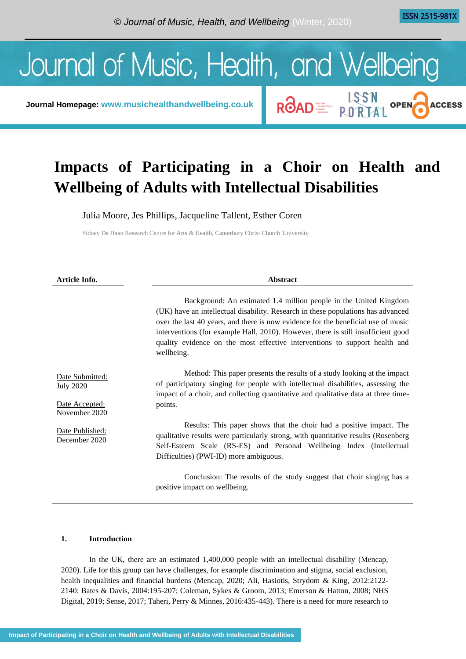**ISSN 2515-981X** 

**ACCESS** 

ROAD E LISSN OPEN



**Journal Homepage: [www.musichealthandwellbeing.co.uk](http://www.musichealthandwellbeing.co.uk/)**

# **Impacts of Participating in a Choir on Health and Wellbeing of Adults with Intellectual Disabilities**

Julia Moore, Jes Phillips, Jacqueline Tallent, Esther Coren

Sidney De Haan Research Centre for Arts & Health, Canterbury Christ Church University

| Article Info.                                                          | <b>Abstract</b>                                                                                                                                                                                                                                                                                                                                                                                                             |
|------------------------------------------------------------------------|-----------------------------------------------------------------------------------------------------------------------------------------------------------------------------------------------------------------------------------------------------------------------------------------------------------------------------------------------------------------------------------------------------------------------------|
|                                                                        | Background: An estimated 1.4 million people in the United Kingdom<br>(UK) have an intellectual disability. Research in these populations has advanced<br>over the last 40 years, and there is now evidence for the beneficial use of music<br>interventions (for example Hall, 2010). However, there is still insufficient good<br>quality evidence on the most effective interventions to support health and<br>wellbeing. |
| Date Submitted:<br><b>July 2020</b><br>Date Accepted:<br>November 2020 | Method: This paper presents the results of a study looking at the impact<br>of participatory singing for people with intellectual disabilities, assessing the<br>impact of a choir, and collecting quantitative and qualitative data at three time-<br>points.                                                                                                                                                              |
| Date Published:<br>December 2020                                       | Results: This paper shows that the choir had a positive impact. The<br>qualitative results were particularly strong, with quantitative results (Rosenberg)<br>Self-Esteem Scale (RS-ES) and Personal Wellbeing Index (Intellectual<br>Difficulties) (PWI-ID) more ambiguous.                                                                                                                                                |
|                                                                        | Conclusion: The results of the study suggest that choir singing has a<br>positive impact on wellbeing.                                                                                                                                                                                                                                                                                                                      |

## **1. Introduction**

In the UK, there are an estimated 1,400,000 people with an intellectual disability (Mencap, 2020). Life for this group can have challenges, for example discrimination and stigma, social exclusion, health inequalities and financial burdens (Mencap, 2020; Ali, Hasiotis, Strydom & King, 2012:2122- 2140; Bates & Davis, 2004:195-207; Coleman, Sykes & Groom, 2013; Emerson & Hatton, 2008; NHS Digital, 2019; Sense, 2017; Taheri, Perry & Minnes, 2016:435-443). There is a need for more research to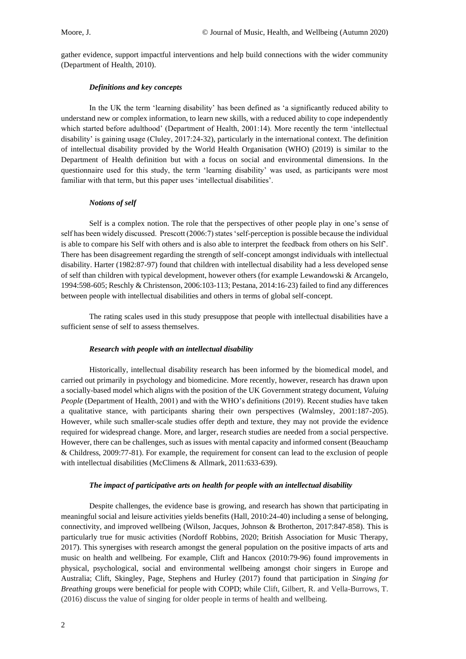gather evidence, support impactful interventions and help build connections with the wider community (Department of Health, 2010).

#### *Definitions and key concepts*

In the UK the term 'learning disability' has been defined as 'a significantly reduced ability to understand new or complex information, to learn new skills, with a reduced ability to cope independently which started before adulthood' (Department of Health, 2001:14). More recently the term 'intellectual disability' is gaining usage (Cluley, 2017:24-32), particularly in the international context. The definition of intellectual disability provided by the World Health Organisation (WHO) (2019) is similar to the Department of Health definition but with a focus on social and environmental dimensions. In the questionnaire used for this study, the term 'learning disability' was used, as participants were most familiar with that term, but this paper uses 'intellectual disabilities'.

#### *Notions of self*

Self is a complex notion. The role that the perspectives of other people play in one's sense of self has been widely discussed. Prescott (2006:7) states 'self-perception is possible because the individual is able to compare his Self with others and is also able to interpret the feedback from others on his Self'. There has been disagreement regarding the strength of self-concept amongst individuals with intellectual disability. Harter (1982:87-97) found that children with intellectual disability had a less developed sense of self than children with typical development, however others (for example Lewandowski & Arcangelo, 1994:598-605; Reschly & Christenson, 2006:103-113; Pestana, 2014:16-23) failed to find any differences between people with intellectual disabilities and others in terms of global self-concept.

The rating scales used in this study presuppose that people with intellectual disabilities have a sufficient sense of self to assess themselves.

#### *Research with people with an intellectual disability*

Historically, intellectual disability research has been informed by the biomedical model, and carried out primarily in psychology and biomedicine. More recently, however, research has drawn upon a socially-based model which aligns with the position of the UK Government strategy document, *Valuing People* (Department of Health, 2001) and with the WHO's definitions (2019). Recent studies have taken a qualitative stance, with participants sharing their own perspectives (Walmsley, 2001:187-205). However, while such smaller-scale studies offer depth and texture, they may not provide the evidence required for widespread change. More, and larger, research studies are needed from a social perspective. However, there can be challenges, such as issues with mental capacity and informed consent (Beauchamp & Childress, 2009:77-81). For example, the requirement for consent can lead to the exclusion of people with intellectual disabilities (McClimens & Allmark, 2011:633-639).

#### *The impact of participative arts on health for people with an intellectual disability*

Despite challenges, the evidence base is growing, and research has shown that participating in meaningful social and leisure activities yields benefits (Hall, 2010:24-40) including a sense of belonging, connectivity, and improved wellbeing (Wilson, Jacques, Johnson & Brotherton, 2017:847-858). This is particularly true for music activities (Nordoff Robbins, 2020; British Association for Music Therapy, 2017). This synergises with research amongst the general population on the positive impacts of arts and music on health and wellbeing. For example, Clift and Hancox (2010:79-96) found improvements in physical, psychological, social and environmental wellbeing amongst choir singers in Europe and Australia; Clift, Skingley, Page, Stephens and Hurley (2017) found that participation in *Singing for Breathing* groups were beneficial for people with COPD; while Clift, Gilbert, R. and Vella-Burrows, T. (2016) discuss the value of singing for older people in terms of health and wellbeing.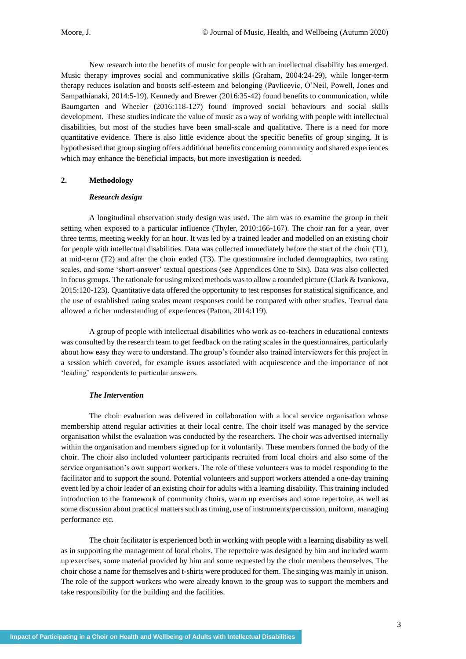New research into the benefits of music for people with an intellectual disability has emerged. Music therapy improves social and communicative skills (Graham, 2004:24-29), while longer-term therapy reduces isolation and boosts self-esteem and belonging (Pavlicevic, O'Neil, Powell, Jones and Sampathianaki, 2014:5-19). Kennedy and Brewer (2016:35-42) found benefits to communication, while Baumgarten and Wheeler (2016:118-127) found improved social behaviours and social skills development. These studies indicate the value of music as a way of working with people with intellectual disabilities, but most of the studies have been small-scale and qualitative. There is a need for more quantitative evidence. There is also little evidence about the specific benefits of group singing. It is hypothesised that group singing offers additional benefits concerning community and shared experiences which may enhance the beneficial impacts, but more investigation is needed.

#### **2. Methodology**

#### *Research design*

A longitudinal observation study design was used. The aim was to examine the group in their setting when exposed to a particular influence (Thyler, 2010:166-167). The choir ran for a year, over three terms, meeting weekly for an hour. It was led by a trained leader and modelled on an existing choir for people with intellectual disabilities. Data was collected immediately before the start of the choir (T1), at mid-term (T2) and after the choir ended (T3). The questionnaire included demographics, two rating scales, and some 'short-answer' textual questions (see Appendices One to Six). Data was also collected in focus groups. The rationale for using mixed methods was to allow a rounded picture (Clark & Ivankova, 2015:120-123). Quantitative data offered the opportunity to test responses for statistical significance, and the use of established rating scales meant responses could be compared with other studies. Textual data allowed a richer understanding of experiences (Patton, 2014:119).

A group of people with intellectual disabilities who work as co-teachers in educational contexts was consulted by the research team to get feedback on the rating scales in the questionnaires, particularly about how easy they were to understand. The group's founder also trained interviewers for this project in a session which covered, for example issues associated with acquiescence and the importance of not 'leading' respondents to particular answers.

#### *The Intervention*

The choir evaluation was delivered in collaboration with a local service organisation whose membership attend regular activities at their local centre. The choir itself was managed by the service organisation whilst the evaluation was conducted by the researchers. The choir was advertised internally within the organisation and members signed up for it voluntarily. These members formed the body of the choir. The choir also included volunteer participants recruited from local choirs and also some of the service organisation's own support workers. The role of these volunteers was to model responding to the facilitator and to support the sound. Potential volunteers and support workers attended a one-day training event led by a choir leader of an existing choir for adults with a learning disability. This training included introduction to the framework of community choirs, warm up exercises and some repertoire, as well as some discussion about practical matters such as timing, use of instruments/percussion, uniform, managing performance etc.

The choir facilitator is experienced both in working with people with a learning disability as well as in supporting the management of local choirs. The repertoire was designed by him and included warm up exercises, some material provided by him and some requested by the choir members themselves. The choir chose a name for themselves and t-shirts were produced for them. The singing was mainly in unison. The role of the support workers who were already known to the group was to support the members and take responsibility for the building and the facilities.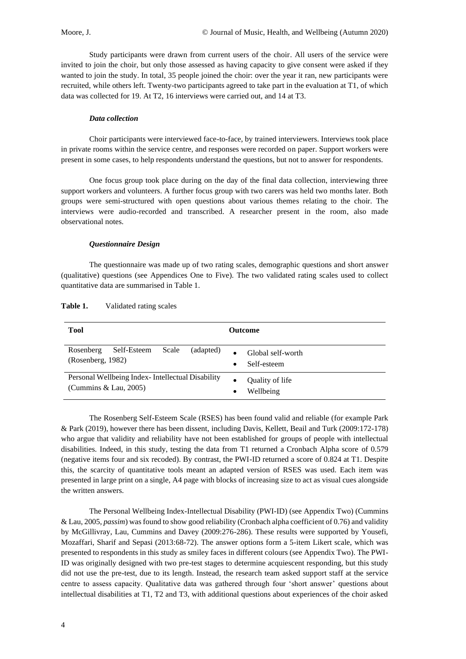Study participants were drawn from current users of the choir. All users of the service were invited to join the choir, but only those assessed as having capacity to give consent were asked if they wanted to join the study. In total, 35 people joined the choir: over the year it ran, new participants were recruited, while others left. Twenty-two participants agreed to take part in the evaluation at T1, of which data was collected for 19. At T2, 16 interviews were carried out, and 14 at T3.

#### *Data collection*

Choir participants were interviewed face-to-face, by trained interviewers. Interviews took place in private rooms within the service centre, and responses were recorded on paper. Support workers were present in some cases, to help respondents understand the questions, but not to answer for respondents.

One focus group took place during on the day of the final data collection, interviewing three support workers and volunteers. A further focus group with two carers was held two months later. Both groups were semi-structured with open questions about various themes relating to the choir. The interviews were audio-recorded and transcribed. A researcher present in the room, also made observational notes.

#### *Questionnaire Design*

The questionnaire was made up of two rating scales, demographic questions and short answer (qualitative) questions (see Appendices One to Five). The two validated rating scales used to collect quantitative data are summarised in Table 1.

| <b>Tool</b>                                                                 | <b>Outcome</b>                                |
|-----------------------------------------------------------------------------|-----------------------------------------------|
| Self-Esteem<br>Rosenberg<br>Scale<br>(adapted)<br>(Rosenberg, 1982)         | Global self-worth<br>Self-esteem<br>$\bullet$ |
| Personal Wellbeing Index - Intellectual Disability<br>(Cummins & Lau, 2005) | Quality of life<br>Wellbeing<br>$\bullet$     |

Table 1. Validated rating scales

The Rosenberg Self-Esteem Scale (RSES) has been found valid and reliable (for example Park & Park (2019), however there has been dissent, including Davis, Kellett, Beail and Turk (2009:172-178) who argue that validity and reliability have not been established for groups of people with intellectual disabilities. Indeed, in this study, testing the data from T1 returned a Cronbach Alpha score of 0.579 (negative items four and six recoded). By contrast, the PWI-ID returned a score of 0.824 at T1. Despite this, the scarcity of quantitative tools meant an adapted version of RSES was used. Each item was presented in large print on a single, A4 page with blocks of increasing size to act as visual cues alongside the written answers.

The Personal Wellbeing Index-Intellectual Disability (PWI-ID) (see Appendix Two) (Cummins & Lau, 2005, *passim*) was found to show good reliability (Cronbach alpha coefficient of 0.76) and validity by McGillivray, Lau, Cummins and Davey (2009:276-286). These results were supported by Yousefi, Mozaffari, Sharif and Sepasi (2013:68-72). The answer options form a 5-item Likert scale, which was presented to respondents in this study as smiley faces in different colours (see Appendix Two). The PWI-ID was originally designed with two pre-test stages to determine acquiescent responding, but this study did not use the pre-test, due to its length. Instead, the research team asked support staff at the service centre to assess capacity. Qualitative data was gathered through four 'short answer' questions about intellectual disabilities at T1, T2 and T3, with additional questions about experiences of the choir asked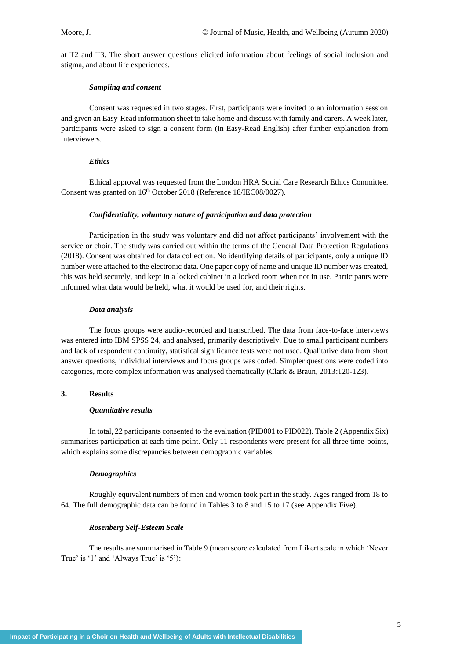at T2 and T3. The short answer questions elicited information about feelings of social inclusion and stigma, and about life experiences.

#### *Sampling and consent*

Consent was requested in two stages. First, participants were invited to an information session and given an Easy-Read information sheet to take home and discuss with family and carers. A week later, participants were asked to sign a consent form (in Easy-Read English) after further explanation from interviewers.

#### *Ethics*

Ethical approval was requested from the London HRA Social Care Research Ethics Committee. Consent was granted on  $16<sup>th</sup>$  October 2018 (Reference 18/IEC08/0027).

#### *Confidentiality, voluntary nature of participation and data protection*

Participation in the study was voluntary and did not affect participants' involvement with the service or choir. The study was carried out within the terms of the General Data Protection Regulations (2018). Consent was obtained for data collection. No identifying details of participants, only a unique ID number were attached to the electronic data. One paper copy of name and unique ID number was created, this was held securely, and kept in a locked cabinet in a locked room when not in use. Participants were informed what data would be held, what it would be used for, and their rights.

#### *Data analysis*

The focus groups were audio-recorded and transcribed. The data from face-to-face interviews was entered into IBM SPSS 24, and analysed, primarily descriptively. Due to small participant numbers and lack of respondent continuity, statistical significance tests were not used. Qualitative data from short answer questions, individual interviews and focus groups was coded. Simpler questions were coded into categories, more complex information was analysed thematically (Clark & Braun, 2013:120-123).

#### **3. Results**

#### *Quantitative results*

In total, 22 participants consented to the evaluation (PID001 to PID022). Table 2 (Appendix Six) summarises participation at each time point. Only 11 respondents were present for all three time-points, which explains some discrepancies between demographic variables.

#### *Demographics*

Roughly equivalent numbers of men and women took part in the study. Ages ranged from 18 to 64. The full demographic data can be found in Tables 3 to 8 and 15 to 17 (see Appendix Five).

#### *Rosenberg Self-Esteem Scale*

The results are summarised in Table 9 (mean score calculated from Likert scale in which 'Never True' is '1' and 'Always True' is '5'):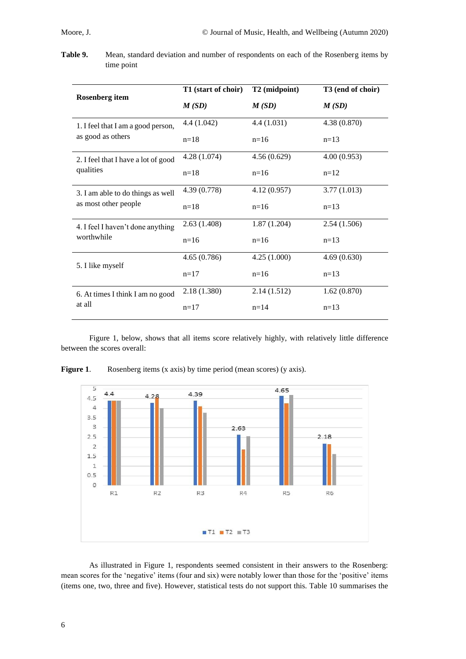**Table 9.** Mean, standard deviation and number of respondents on each of the Rosenberg items by time point

|                                     | T1 (start of choir) | T2 (midpoint) | T3 (end of choir) |
|-------------------------------------|---------------------|---------------|-------------------|
| <b>Rosenberg</b> item               | M(SD)               | M(SD)         | M(SD)             |
| 1. I feel that I am a good person,  | 4.4 (1.042)         | 4.4(1.031)    | 4.38(0.870)       |
| as good as others                   | $n=18$              | $n=16$        | $n=13$            |
| 2. I feel that I have a lot of good | 4.28(1.074)         | 4.56(0.629)   | 4.00(0.953)       |
| qualities                           | $n=18$              | $n=16$        | $n=12$            |
| 3. I am able to do things as well   | 4.39 (0.778)        | 4.12(0.957)   | 3.77(1.013)       |
| as most other people                | $n=18$              | $n=16$        | $n=13$            |
| 4. I feel I haven't done anything   | 2.63(1.408)         | 1.87(1.204)   | 2.54(1.506)       |
| worthwhile                          | $n=16$              | $n=16$        | $n=13$            |
| 5. I like myself                    | 4.65(0.786)         | 4.25(1.000)   | 4.69(0.630)       |
|                                     | $n=17$              | $n=16$        | $n=13$            |
| 6. At times I think I am no good    | 2.18 (1.380)        | 2.14(1.512)   | 1.62(0.870)       |
| at all                              | $n=17$              | $n=14$        | $n=13$            |

Figure 1, below, shows that all items score relatively highly, with relatively little difference between the scores overall:



**Figure 1.** Rosenberg items (x axis) by time period (mean scores) (y axis).

As illustrated in Figure 1, respondents seemed consistent in their answers to the Rosenberg: mean scores for the 'negative' items (four and six) were notably lower than those for the 'positive' items (items one, two, three and five). However, statistical tests do not support this. Table 10 summarises the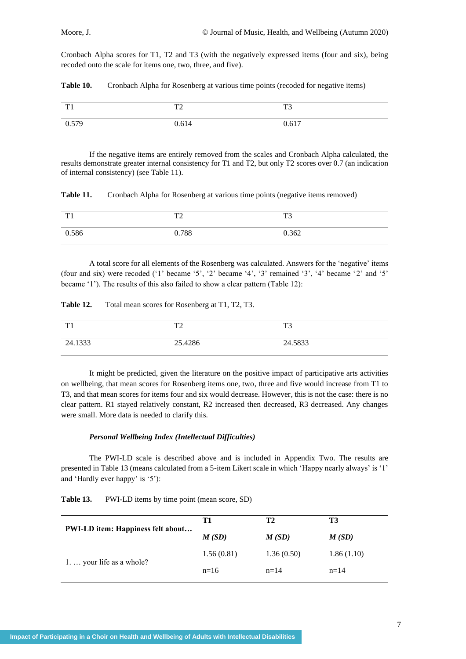Cronbach Alpha scores for T1, T2 and T3 (with the negatively expressed items (four and six), being recoded onto the scale for items one, two, three, and five).

| Table 10. |  |  |  | Cronbach Alpha for Rosenberg at various time points (recoded for negative items) |  |
|-----------|--|--|--|----------------------------------------------------------------------------------|--|
|-----------|--|--|--|----------------------------------------------------------------------------------|--|

| TT1   | $T^{\prime}$<br>▪ | T <sup>2</sup><br>. . |
|-------|-------------------|-----------------------|
| 0.579 | 0.614             | 0.617                 |

If the negative items are entirely removed from the scales and Cronbach Alpha calculated, the results demonstrate greater internal consistency for T1 and T2, but only T2 scores over 0.7 (an indication of internal consistency) (see Table 11).

**Table 11.** Cronbach Alpha for Rosenberg at various time points (negative items removed)

| $T^*$ | $T^{\wedge}$ | T <sub>3</sub> |
|-------|--------------|----------------|
| 0.586 | 0.788        | 0.362          |

A total score for all elements of the Rosenberg was calculated. Answers for the 'negative' items (four and six) were recoded ('1' became '5', '2' became '4', '3' remained '3', '4' became '2' and '5' became '1'). The results of this also failed to show a clear pattern (Table 12):

**Table 12.** Total mean scores for Rosenberg at T1, T2, T3.

| TT1     | $T^{\wedge}$ | T <sub>3</sub> |
|---------|--------------|----------------|
| 24.1333 | 25.4286      | 24.5833        |

It might be predicted, given the literature on the positive impact of participative arts activities on wellbeing, that mean scores for Rosenberg items one, two, three and five would increase from T1 to T3, and that mean scores for items four and six would decrease. However, this is not the case: there is no clear pattern. R1 stayed relatively constant, R2 increased then decreased, R3 decreased. Any changes were small. More data is needed to clarify this.

#### *Personal Wellbeing Index (Intellectual Difficulties)*

The PWI-LD scale is described above and is included in Appendix Two. The results are presented in Table 13 (means calculated from a 5-item Likert scale in which 'Happy nearly always' is '1' and 'Hardly ever happy' is '5'):

|                                          | Т1         | T2         | T3         |
|------------------------------------------|------------|------------|------------|
| <b>PWI-LD</b> item: Happiness felt about | M(SD)      | M(SD)      | M(SD)      |
| 1. $\ldots$ your life as a whole?        | 1.56(0.81) | 1.36(0.50) | 1.86(1.10) |
|                                          | $n=16$     | $n = 14$   | $n = 14$   |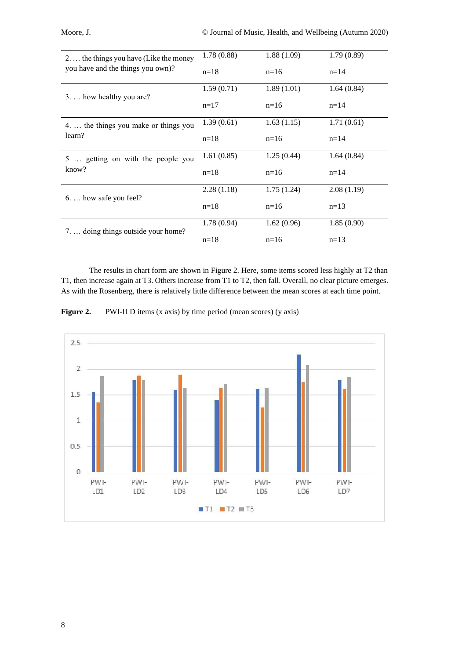| 2.  the things you have (Like the money | 1.78(0.88) | 1.88(1.09) | 1.79(0.89) |
|-----------------------------------------|------------|------------|------------|
| you have and the things you own)?       | $n=18$     | $n=16$     | $n=14$     |
| 3.  how healthy you are?                | 1.59(0.71) | 1.89(1.01) | 1.64(0.84) |
|                                         | $n=17$     | $n=16$     | $n=14$     |
| 4.  the things you make or things you   | 1.39(0.61) | 1.63(1.15) | 1.71(0.61) |
| learn?                                  | $n=18$     | $n=16$     | $n=14$     |
| 5  getting on with the people you       | 1.61(0.85) | 1.25(0.44) | 1.64(0.84) |
| know?                                   | $n=18$     | $n=16$     | $n=14$     |
| $6. \ldots$ how safe you feel?          | 2.28(1.18) | 1.75(1.24) | 2.08(1.19) |
|                                         | $n=18$     | $n=16$     | $n=13$     |
| 7.  doing things outside your home?     | 1.78(0.94) | 1.62(0.96) | 1.85(0.90) |
|                                         | $n=18$     | $n=16$     | $n=13$     |

The results in chart form are shown in Figure 2. Here, some items scored less highly at T2 than T1, then increase again at T3. Others increase from T1 to T2, then fall. Overall, no clear picture emerges. As with the Rosenberg, there is relatively little difference between the mean scores at each time point.

**Figure 2.** PWI-ILD items (x axis) by time period (mean scores) (y axis)



8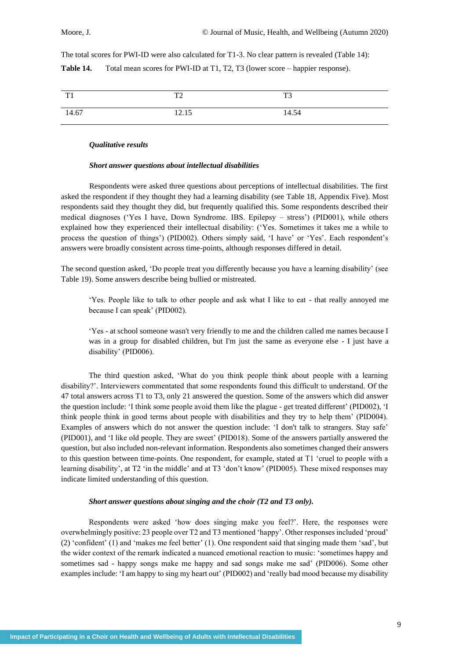The total scores for PWI-ID were also calculated for T1-3. No clear pattern is revealed (Table 14): **Table 14.** Total mean scores for PWI-ID at T1, T2, T3 (lower score – happier response).

| TT1   | $T^{\prime}$<br>$\overline{\phantom{0}}$ | T <sub>3</sub> |
|-------|------------------------------------------|----------------|
| 14.67 | 12.15                                    | 14.54          |

#### *Qualitative results*

#### *Short answer questions about intellectual disabilities*

Respondents were asked three questions about perceptions of intellectual disabilities. The first asked the respondent if they thought they had a learning disability (see Table 18, Appendix Five). Most respondents said they thought they did, but frequently qualified this. Some respondents described their medical diagnoses ('Yes I have, Down Syndrome. IBS. Epilepsy – stress') (PID001), while others explained how they experienced their intellectual disability: ('Yes. Sometimes it takes me a while to process the question of things') (PID002). Others simply said, 'I have' or 'Yes'. Each respondent's answers were broadly consistent across time-points, although responses differed in detail.

The second question asked, 'Do people treat you differently because you have a learning disability' (see Table 19). Some answers describe being bullied or mistreated.

'Yes. People like to talk to other people and ask what I like to eat - that really annoyed me because I can speak' (PID002).

'Yes - at school someone wasn't very friendly to me and the children called me names because I was in a group for disabled children, but I'm just the same as everyone else - I just have a disability' (PID006).

The third question asked, 'What do you think people think about people with a learning disability?'. Interviewers commentated that some respondents found this difficult to understand. Of the 47 total answers across T1 to T3, only 21 answered the question. Some of the answers which did answer the question include: 'I think some people avoid them like the plague - get treated different' (PID002), 'I think people think in good terms about people with disabilities and they try to help them' (PID004). Examples of answers which do not answer the question include: 'I don't talk to strangers. Stay safe' (PID001), and 'I like old people. They are sweet' (PID018). Some of the answers partially answered the question, but also included non-relevant information. Respondents also sometimes changed their answers to this question between time-points. One respondent, for example, stated at T1 'cruel to people with a learning disability', at T2 'in the middle' and at T3 'don't know' (PID005). These mixed responses may indicate limited understanding of this question.

### *Short answer questions about singing and the choir (T2 and T3 only).*

Respondents were asked 'how does singing make you feel?'. Here, the responses were overwhelmingly positive: 23 people over T2 and T3 mentioned 'happy'. Other responses included 'proud' (2) 'confident' (1) and 'makes me feel better' (1). One respondent said that singing made them 'sad', but the wider context of the remark indicated a nuanced emotional reaction to music: 'sometimes happy and sometimes sad - happy songs make me happy and sad songs make me sad' (PID006). Some other examples include: 'I am happy to sing my heart out' (PID002) and 'really bad mood because my disability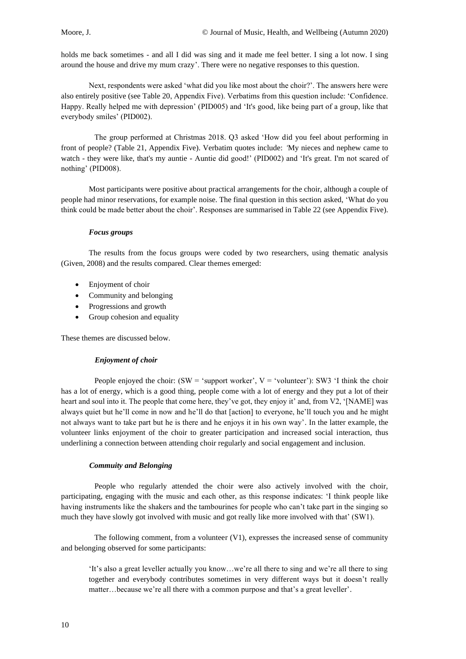holds me back sometimes - and all I did was sing and it made me feel better. I sing a lot now. I sing around the house and drive my mum crazy'. There were no negative responses to this question.

Next, respondents were asked 'what did you like most about the choir?'. The answers here were also entirely positive (see Table 20, Appendix Five). Verbatims from this question include: 'Confidence. Happy. Really helped me with depression' (PID005) and 'It's good, like being part of a group, like that everybody smiles' (PID002).

The group performed at Christmas 2018. Q3 asked 'How did you feel about performing in front of people? (Table 21, Appendix Five). Verbatim quotes include: *'*My nieces and nephew came to watch - they were like, that's my auntie - Auntie did good!' (PID002) and 'It's great. I'm not scared of nothing' (PID008).

Most participants were positive about practical arrangements for the choir, although a couple of people had minor reservations, for example noise. The final question in this section asked, 'What do you think could be made better about the choir'. Responses are summarised in Table 22 (see Appendix Five).

#### *Focus groups*

The results from the focus groups were coded by two researchers, using thematic analysis (Given, 2008) and the results compared. Clear themes emerged:

- Enjoyment of choir
- Community and belonging
- Progressions and growth
- Group cohesion and equality

These themes are discussed below.

#### *Enjoyment of choir*

People enjoyed the choir: (SW = 'support worker',  $V =$  'volunteer'): SW3 'I think the choir has a lot of energy, which is a good thing, people come with a lot of energy and they put a lot of their heart and soul into it. The people that come here, they've got, they enjoy it' and, from V2, '[NAME] was always quiet but he'll come in now and he'll do that [action] to everyone, he'll touch you and he might not always want to take part but he is there and he enjoys it in his own way'. In the latter example, the volunteer links enjoyment of the choir to greater participation and increased social interaction, thus underlining a connection between attending choir regularly and social engagement and inclusion.

#### *Commuity and Belonging*

People who regularly attended the choir were also actively involved with the choir, participating, engaging with the music and each other, as this response indicates: 'I think people like having instruments like the shakers and the tambourines for people who can't take part in the singing so much they have slowly got involved with music and got really like more involved with that' (SW1).

The following comment, from a volunteer (V1), expresses the increased sense of community and belonging observed for some participants:

'It's also a great leveller actually you know…we're all there to sing and we're all there to sing together and everybody contributes sometimes in very different ways but it doesn't really matter…because we're all there with a common purpose and that's a great leveller'.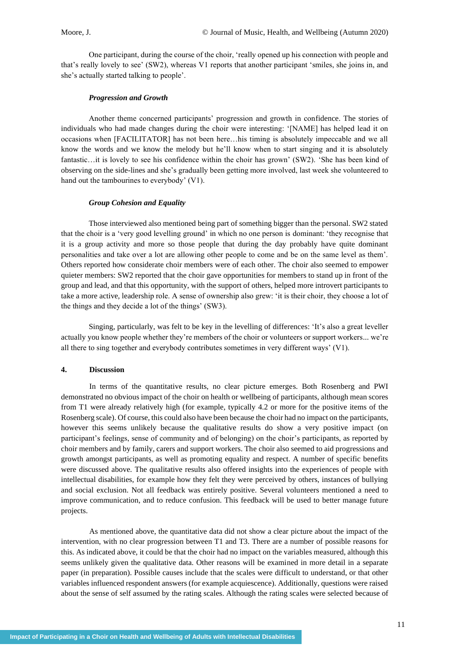One participant, during the course of the choir, 'really opened up his connection with people and that's really lovely to see' (SW2), whereas V1 reports that another participant 'smiles, she joins in, and she's actually started talking to people'.

#### *Progression and Growth*

Another theme concerned participants' progression and growth in confidence. The stories of individuals who had made changes during the choir were interesting: '[NAME] has helped lead it on occasions when [FACILITATOR] has not been here…his timing is absolutely impeccable and we all know the words and we know the melody but he'll know when to start singing and it is absolutely fantastic…it is lovely to see his confidence within the choir has grown' (SW2). 'She has been kind of observing on the side-lines and she's gradually been getting more involved, last week she volunteered to hand out the tambourines to everybody' (V1).

#### *Group Cohesion and Equality*

Those interviewed also mentioned being part of something bigger than the personal. SW2 stated that the choir is a 'very good levelling ground' in which no one person is dominant: 'they recognise that it is a group activity and more so those people that during the day probably have quite dominant personalities and take over a lot are allowing other people to come and be on the same level as them'. Others reported how considerate choir members were of each other. The choir also seemed to empower quieter members: SW2 reported that the choir gave opportunities for members to stand up in front of the group and lead, and that this opportunity, with the support of others, helped more introvert participants to take a more active, leadership role. A sense of ownership also grew: 'it is their choir, they choose a lot of the things and they decide a lot of the things' (SW3).

Singing, particularly, was felt to be key in the levelling of differences: 'It's also a great leveller actually you know people whether they're members of the choir or volunteers or support workers... we're all there to sing together and everybody contributes sometimes in very different ways' (V1).

#### **4. Discussion**

In terms of the quantitative results, no clear picture emerges. Both Rosenberg and PWI demonstrated no obvious impact of the choir on health or wellbeing of participants, although mean scores from T1 were already relatively high (for example, typically 4.2 or more for the positive items of the Rosenberg scale). Of course, this could also have been because the choir had no impact on the participants, however this seems unlikely because the qualitative results do show a very positive impact (on participant's feelings, sense of community and of belonging) on the choir's participants, as reported by choir members and by family, carers and support workers. The choir also seemed to aid progressions and growth amongst participants, as well as promoting equality and respect. A number of specific benefits were discussed above*.* The qualitative results also offered insights into the experiences of people with intellectual disabilities, for example how they felt they were perceived by others, instances of bullying and social exclusion. Not all feedback was entirely positive. Several volunteers mentioned a need to improve communication, and to reduce confusion. This feedback will be used to better manage future projects.

As mentioned above, the quantitative data did not show a clear picture about the impact of the intervention, with no clear progression between T1 and T3. There are a number of possible reasons for this. As indicated above, it could be that the choir had no impact on the variables measured, although this seems unlikely given the qualitative data. Other reasons will be examined in more detail in a separate paper (in preparation). Possible causes include that the scales were difficult to understand, or that other variables influenced respondent answers (for example acquiescence). Additionally, questions were raised about the sense of self assumed by the rating scales. Although the rating scales were selected because of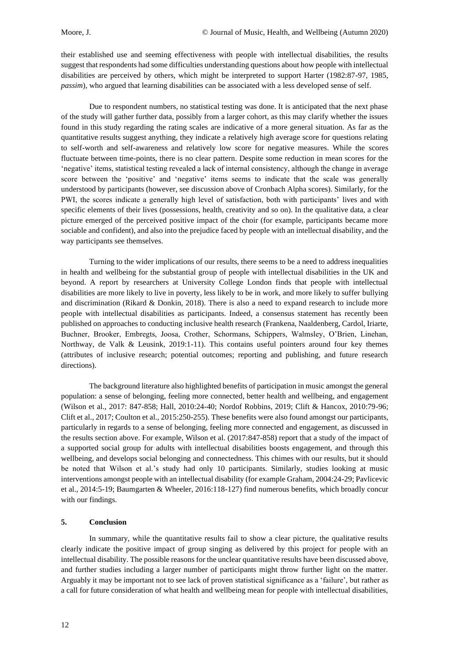their established use and seeming effectiveness with people with intellectual disabilities, the results suggest that respondents had some difficulties understanding questions about how people with intellectual disabilities are perceived by others, which might be interpreted to support Harter (1982:87-97, 1985, *passim*), who argued that learning disabilities can be associated with a less developed sense of self.

Due to respondent numbers, no statistical testing was done. It is anticipated that the next phase of the study will gather further data, possibly from a larger cohort, as this may clarify whether the issues found in this study regarding the rating scales are indicative of a more general situation. As far as the quantitative results suggest anything, they indicate a relatively high average score for questions relating to self-worth and self-awareness and relatively low score for negative measures. While the scores fluctuate between time-points, there is no clear pattern. Despite some reduction in mean scores for the 'negative' items, statistical testing revealed a lack of internal consistency, although the change in average score between the 'positive' and 'negative' items seems to indicate that the scale was generally understood by participants (however, see discussion above of Cronbach Alpha scores). Similarly, for the PWI, the scores indicate a generally high level of satisfaction, both with participants' lives and with specific elements of their lives (possessions, health, creativity and so on). In the qualitative data, a clear picture emerged of the perceived positive impact of the choir (for example, participants became more sociable and confident), and also into the prejudice faced by people with an intellectual disability, and the way participants see themselves.

Turning to the wider implications of our results, there seems to be a need to address inequalities in health and wellbeing for the substantial group of people with intellectual disabilities in the UK and beyond. A report by researchers at University College London finds that people with intellectual disabilities are more likely to live in poverty, less likely to be in work, and more likely to suffer bullying and discrimination (Rikard & Donkin, 2018). There is also a need to expand research to include more people with intellectual disabilities as participants. Indeed, a consensus statement has recently been published on approaches to conducting inclusive health research (Frankena, Naaldenberg, Cardol, Iriarte, Buchner, Brooker, Embregts, Joosa, Crother, Schormans, Schippers, Walmsley, O'Brien, Linehan, Northway, de Valk & Leusink, 2019:1-11). This contains useful pointers around four key themes (attributes of inclusive research; potential outcomes; reporting and publishing, and future research directions).

The background literature also highlighted benefits of participation in music amongst the general population: a sense of belonging, feeling more connected, better health and wellbeing, and engagement (Wilson et al., 2017: 847-858; Hall, 2010:24-40; Nordof Robbins, 2019; Clift & Hancox, 2010:79-96; Clift et al., 2017; Coulton et al., 2015:250-255). These benefits were also found amongst our participants, particularly in regards to a sense of belonging, feeling more connected and engagement, as discussed in the results section above. For example, Wilson et al. (2017:847-858) report that a study of the impact of a supported social group for adults with intellectual disabilities boosts engagement, and through this wellbeing, and develops social belonging and connectedness. This chimes with our results, but it should be noted that Wilson et al.'s study had only 10 participants. Similarly, studies looking at music interventions amongst people with an intellectual disability (for example Graham, 2004:24-29; Pavlicevic et al., 2014:5-19; Baumgarten & Wheeler, 2016:118-127) find numerous benefits, which broadly concur with our findings.

#### **5. Conclusion**

In summary, while the quantitative results fail to show a clear picture, the qualitative results clearly indicate the positive impact of group singing as delivered by this project for people with an intellectual disability. The possible reasons for the unclear quantitative results have been discussed above, and further studies including a larger number of participants might throw further light on the matter. Arguably it may be important not to see lack of proven statistical significance as a 'failure', but rather as a call for future consideration of what health and wellbeing mean for people with intellectual disabilities,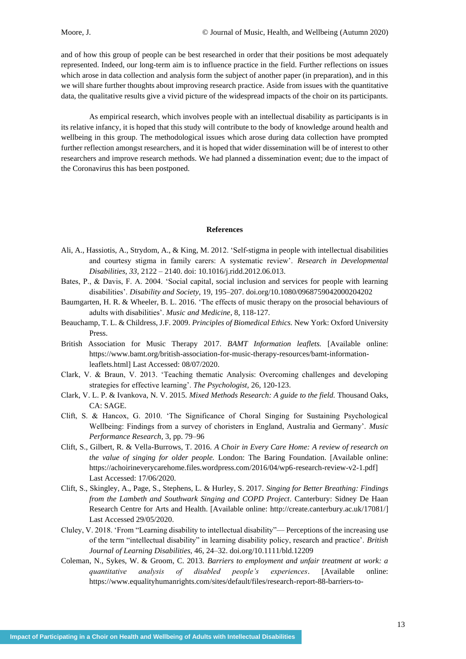and of how this group of people can be best researched in order that their positions be most adequately represented. Indeed, our long-term aim is to influence practice in the field. Further reflections on issues which arose in data collection and analysis form the subject of another paper (in preparation), and in this we will share further thoughts about improving research practice. Aside from issues with the quantitative data, the qualitative results give a vivid picture of the widespread impacts of the choir on its participants.

As empirical research, which involves people with an intellectual disability as participants is in its relative infancy, it is hoped that this study will contribute to the body of knowledge around health and wellbeing in this group. The methodological issues which arose during data collection have prompted further reflection amongst researchers, and it is hoped that wider dissemination will be of interest to other researchers and improve research methods. We had planned a dissemination event; due to the impact of the Coronavirus this has been postponed.

#### **References**

- Ali, A., Hassiotis, A., Strydom, A., & King, M. 2012. 'Self-stigma in people with intellectual disabilities and courtesy stigma in family carers: A systematic review'. *Research in Developmental Disabilities*, *33*, 2122 – 2140. doi: 10.1016/j.ridd.2012.06.013.
- Bates, P., & Davis, F. A. 2004. 'Social capital, social inclusion and services for people with learning disabilities'. *Disability and Society*, 19, 195–207. [doi.org/10.1080/0968759042000204202](https://doi.org/10.1080/0968759042000204202)
- Baumgarten, H. R. & Wheeler, B. L. 2016. 'The effects of music therapy on the prosocial behaviours of adults with disabilities'. *Music and Medicine*, 8, 118-127.
- Beauchamp, T. L. & Childress, J.F. 2009. *Principles of Biomedical Ethics.* New York: Oxford University Press.
- British Association for Music Therapy 2017. *BAMT Information leaflets.* [Available online: [https://www.bamt.org/british-association-for-music-therapy-resources/bamt-information](https://www.bamt.org/british-association-for-music-therapy-resources/bamt-information-leaflets.html)[leaflets.html\]](https://www.bamt.org/british-association-for-music-therapy-resources/bamt-information-leaflets.html) Last Accessed: 08/07/2020.
- Clark, V. & Braun, V. 2013. 'Teaching thematic Analysis: Overcoming challenges and developing strategies for effective learning'. *The Psychologist,* 26*,* 120-123.
- Clark, V. L. P. & Ivankova, N. V. 2015. *Mixed Methods Research: A guide to the field.* Thousand Oaks, CA: SAGE.
- Clift, S. & Hancox, G. 2010. 'The Significance of Choral Singing for Sustaining Psychological Wellbeing: Findings from a survey of choristers in England, Australia and Germany'. *Music Performance Research,* 3, pp. 79–96
- Clift, S., Gilbert, R. & Vella-Burrows, T. 2016. *A Choir in Every Care Home: A review of research on the value of singing for older people.* London: The Baring Foundation. [Available online: [https://achoirineverycarehome.files.wordpress.com/2016/04/wp6-research-review-v2-1.pdf\]](https://achoirineverycarehome.files.wordpress.com/2016/04/wp6-research-review-v2-1.pdf) Last Accessed: 17/06/2020.
- Clift, S., Skingley, A., Page, S., Stephens, L. & Hurley, S. 2017. *Singing for Better Breathing: Findings from the Lambeth and Southwark Singing and COPD Project*. Canterbury: Sidney De Haan Research Centre for Arts and Health. [Available online: [http://create.canterbury.ac.uk/17081/\]](http://create.canterbury.ac.uk/17081/) Last Accessed 29/05/2020.
- Cluley, V. 2018. 'From "Learning disability to intellectual disability"— Perceptions of the increasing use of the term "intellectual disability" in learning disability policy, research and practice'. *British Journal of Learning Disabilities*, 46, 24–32. doi.org/10.1111/bld.12209
- Coleman, N., Sykes, W. & Groom, C. 2013. *Barriers to employment and unfair treatment at work: a quantitative analysis of disabled people's experiences*. [Available online: [https://www.equalityhumanrights.com/sites/default/files/research-report-88-barriers-to-](https://www.equalityhumanrights.com/sites/default/files/research-report-88-barriers-to-employment-and-unfair-treatment-at-work-disabled-peoples-experiences.pdf)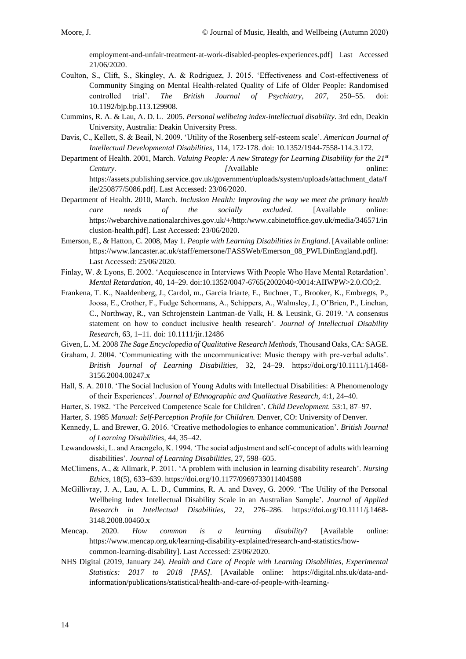[employment-and-unfair-treatment-at-work-disabled-peoples-experiences.pdf\]](https://www.equalityhumanrights.com/sites/default/files/research-report-88-barriers-to-employment-and-unfair-treatment-at-work-disabled-peoples-experiences.pdf) Last Accessed 21/06/2020.

- Coulton, S., Clift, S., Skingley, A. & Rodriguez, J. 2015. 'Effectiveness and Cost-effectiveness of Community Singing on Mental Health-related Quality of Life of Older People: Randomised controlled trial'. *The British Journal of Psychiatry, 207*, 250–55. doi: 10.1192/bjp.bp.113.129908.
- Cummins, R. A. & Lau, A. D. L. 2005. *Personal wellbeing index-intellectual disability*. 3rd edn, Deakin University, Australia: Deakin University Press.
- Davis, C., Kellett, S. & Beail, N. 2009. 'Utility of the Rosenberg self-esteem scale'. *American Journal of Intellectual Developmental Disabilities,* 114, 172-178. doi: 10.1352/1944-7558-114.3.172.
- Department of Health. 2001, March. *Valuing People: A new Strategy for Learning Disability for the 21st Century. [Available online: 1994] [Available online: 1994] [Available online: 1994] Continues online: [Available online: 1995]* [https://assets.publishing.service.gov.uk/government/uploads/system/uploads/attachment\\_data/f](https://assets.publishing.service.gov.uk/government/uploads/system/uploads/attachment_data/file/250877/5086.pdf) [ile/250877/5086.pdf\]](https://assets.publishing.service.gov.uk/government/uploads/system/uploads/attachment_data/file/250877/5086.pdf). Last Accessed: 23/06/2020.
- Department of Health. 2010, March. *Inclusion Health: Improving the way we meet the primary health care needs of the socially excluded*. [Available online: [https://webarchive.nationalarchives.gov.uk/+/http:/www.cabinetoffice.gov.uk/media/346571/in](https://webarchive.nationalarchives.gov.uk/+/http:/www.cabinetoffice.gov.uk/media/346571/inclusion-health.pdf) [clusion-health.pdf\]](https://webarchive.nationalarchives.gov.uk/+/http:/www.cabinetoffice.gov.uk/media/346571/inclusion-health.pdf). Last Accessed: 23/06/2020.
- Emerson, E., & Hatton, C. 2008, May 1. *People with Learning Disabilities in England*. [Available online: [https://www.lancaster.ac.uk/staff/emersone/FASSWeb/Emerson\\_08\\_PWLDinEngland.pdf\]](https://eur01.safelinks.protection.outlook.com/?url=https%3A%2F%2Fwww.lancaster.ac.uk%2Fstaff%2Femersone%2FFASSWeb%2FEmerson_08_PWLDinEngland.pdf&data=02%7C01%7Cjes.phillips%40canterbury.ac.uk%7C0dcabc85d54b4e1b856808d7dae9143f%7C0320b2da22dd4dab8c216e644ba14f13%7C0%7C0%7C637218566905626833&sdata=AOmLJuVevF5c8qrgCx5AmM6kQoSwUOkVhRCI3MW%2BGgw%3D&reserved=0). Last Accessed: 25/06/2020.
- Finlay, W. & Lyons, E. 2002. 'Acquiescence in Interviews With People Who Have Mental Retardation'. *Mental Retardation*, 40, 14–29. doi:10.1352/0047-6765(2002040<0014:AIIWPW>2.0.CO;2.
- Frankena, T. K., Naaldenberg, J., Cardol, m., Garcia Iriarte, E., Buchner, T., Brooker, K., Embregts, P., Joosa, E., Crother, F., Fudge Schormans, A., Schippers, A., Walmsley, J., O'Brien, P., Linehan, C., Northway, R., van Schrojenstein Lantman-de Valk, H. & Leusink, G. 2019. 'A consensus statement on how to conduct inclusive health research'. *Journal of Intellectual Disability Research,* 63, 1–11. doi: 10.1111/jir.12486
- Given, L. M. 2008 *The Sage Encyclopedia of Qualitative Research Methods*, Thousand Oaks, CA: SAGE.
- Graham, J. 2004. 'Communicating with the uncommunicative: Music therapy with pre-verbal adults'. *British Journal of Learning Disabilities*, 32, 24–29. [https://doi.org/10.1111/j.1468-](https://doi.org/10.1111/j.1468-3156.2004.00247.x) [3156.2004.00247.x](https://doi.org/10.1111/j.1468-3156.2004.00247.x)
- Hall, S. A. 2010. 'The Social Inclusion of Young Adults with Intellectual Disabilities: A Phenomenology of their Experiences'. *Journal of Ethnographic and Qualitative Research,* 4:1, 24–40.
- Harter, S. 1982. 'The Perceived Competence Scale for Children'. *Child Development.* 53:1, 87–97.
- Harter, S. 1985 *Manual: Self-Perception Profile for Children.* Denver, CO: University of Denver.
- Kennedy, L. and Brewer, G. 2016. 'Creative methodologies to enhance communication'. *British Journal of Learning Disabilities,* 44, 35–42.
- Lewandowski, L. and Aracngelo, K. 1994. 'The social adjustment and self-concept of adults with learning disabilities'. *Journal of Learning Disabilities*, 27, 598–605.
- McClimens, A., & Allmark, P. 2011. 'A problem with inclusion in learning disability research'. *Nursing Ethics*, 18(5), 633–639[. https://doi.org/10.1177/0969733011404588](https://doi.org/10.1177/0969733011404588)
- McGillivray, J. A., Lau, A. L. D., Cummins, R. A. and Davey, G. 2009. 'The Utility of the Personal Wellbeing Index Intellectual Disability Scale in an Australian Sample'. *Journal of Applied Research in Intellectual Disabilities,* 22, 276–286. [https://doi.org/10.1111/j.1468-](https://doi.org/10.1111/j.1468-3148.2008.00460.x) [3148.2008.00460.x](https://doi.org/10.1111/j.1468-3148.2008.00460.x)
- Mencap. 2020. *How common is a learning disability*? [Available online: [https://www.mencap.org.uk/learning-disability-explained/research-and-statistics/how](https://eur01.safelinks.protection.outlook.com/?url=https%3A%2F%2Fwww.mencap.org.uk%2Flearning-disability-explained%2Fresearch-and-statistics%2Fhow-common-learning-disability&data=02%7C01%7Cjes.phillips%40canterbury.ac.uk%7C0dcabc85d54b4e1b856808d7dae9143f%7C0320b2da22dd4dab8c216e644ba14f13%7C0%7C0%7C637218566905636789&sdata=Ly6Sp0heW9I9znXfV%2B3bcqDSLVTFWyj%2BfhUN3LsGD%2FI%3D&reserved=0)[common-learning-disability\]](https://eur01.safelinks.protection.outlook.com/?url=https%3A%2F%2Fwww.mencap.org.uk%2Flearning-disability-explained%2Fresearch-and-statistics%2Fhow-common-learning-disability&data=02%7C01%7Cjes.phillips%40canterbury.ac.uk%7C0dcabc85d54b4e1b856808d7dae9143f%7C0320b2da22dd4dab8c216e644ba14f13%7C0%7C0%7C637218566905636789&sdata=Ly6Sp0heW9I9znXfV%2B3bcqDSLVTFWyj%2BfhUN3LsGD%2FI%3D&reserved=0). Last Accessed: 23/06/2020.
- NHS Digital (2019, January 24). *Health and Care of People with Learning Disabilities, Experimental Statistics: 2017 to 2018 [PAS].* [Available online: [https://digital.nhs.uk/data-and](https://eur01.safelinks.protection.outlook.com/?url=https%3A%2F%2Fdigital.nhs.uk%2Fdata-and-information%2Fpublications%2Fstatistical%2Fhealth-and-care-of-people-with-learning-disabilities%2Fexperimental-statistics-2017-to-2018&data=02%7C01%7Cjes.phillips%40canterbury.ac.uk%7C0dcabc85d54b4e1b856808d7dae9143f%7C0320b2da22dd4dab8c216e644ba14f13%7C0%7C0%7C637218566905636789&sdata=jTGcEYIVZTSczUQpkdfFgG8ZjLUXz0XeHTZwlzMo6hQ%3D&reserved=0)[information/publications/statistical/health-and-care-of-people-with-learning-](https://eur01.safelinks.protection.outlook.com/?url=https%3A%2F%2Fdigital.nhs.uk%2Fdata-and-information%2Fpublications%2Fstatistical%2Fhealth-and-care-of-people-with-learning-disabilities%2Fexperimental-statistics-2017-to-2018&data=02%7C01%7Cjes.phillips%40canterbury.ac.uk%7C0dcabc85d54b4e1b856808d7dae9143f%7C0320b2da22dd4dab8c216e644ba14f13%7C0%7C0%7C637218566905636789&sdata=jTGcEYIVZTSczUQpkdfFgG8ZjLUXz0XeHTZwlzMo6hQ%3D&reserved=0)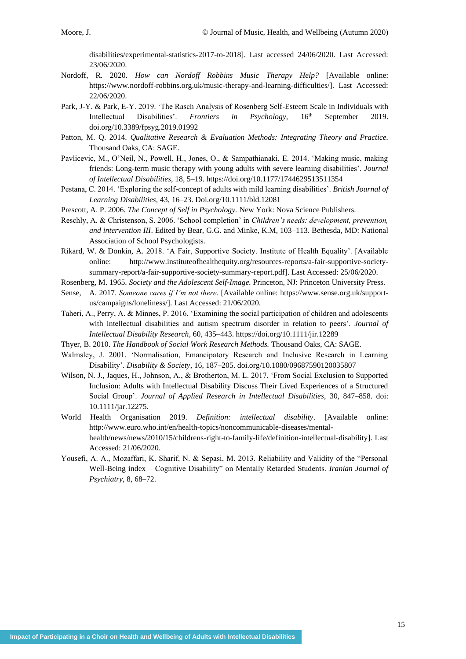[disabilities/experimental-statistics-2017-to-2018\]](https://eur01.safelinks.protection.outlook.com/?url=https%3A%2F%2Fdigital.nhs.uk%2Fdata-and-information%2Fpublications%2Fstatistical%2Fhealth-and-care-of-people-with-learning-disabilities%2Fexperimental-statistics-2017-to-2018&data=02%7C01%7Cjes.phillips%40canterbury.ac.uk%7C0dcabc85d54b4e1b856808d7dae9143f%7C0320b2da22dd4dab8c216e644ba14f13%7C0%7C0%7C637218566905636789&sdata=jTGcEYIVZTSczUQpkdfFgG8ZjLUXz0XeHTZwlzMo6hQ%3D&reserved=0). Last accessed 24/06/2020. Last Accessed: 23/06/2020.

- Nordoff, R. 2020. *How can Nordoff Robbins Music Therapy Help?* [Available online: [https://www.nordoff-robbins.org.uk/music-therapy-and-learning-difficulties/\]](https://www.nordoff-robbins.org.uk/music-therapy-and-learning-difficulties/). Last Accessed: 22/06/2020.
- Park, J-Y. & Park, E-Y. 2019. 'The Rasch Analysis of Rosenberg Self-Esteem Scale in Individuals with Intellectual Disabilities'. *Frontiers in Psychology,* 16th September 2019. [doi.org/10.3389/fpsyg.2019.01992](https://doi.org/10.3389/fpsyg.2019.01992)
- Patton, M. Q. 2014. *Qualitative Research & Evaluation Methods: Integrating Theory and Practice.*  Thousand Oaks, CA: SAGE.
- Pavlicevic, M., O'Neil, N., Powell, H., Jones, O., & Sampathianaki, E. 2014. 'Making music, making friends: Long-term music therapy with young adults with severe learning disabilities'. *Journal of Intellectual Disabilities*, 18, 5–19[. https://doi.org/10.1177/1744629513511354](https://eur01.safelinks.protection.outlook.com/?url=https%3A%2F%2Fdoi.org%2F10.1177%2F1744629513511354&data=02%7C01%7Cjes.phillips%40canterbury.ac.uk%7C0dcabc85d54b4e1b856808d7dae9143f%7C0320b2da22dd4dab8c216e644ba14f13%7C0%7C0%7C637218566905646747&sdata=47aQ%2F1bec0w7FYE7W65E3scOGZCUg6sY9MitIAuzZtI%3D&reserved=0)
- Pestana, C. 2014. 'Exploring the self-concept of adults with mild learning disabilities'. *British Journal of Learning Disabilities,* 43, 16–23. Doi.org/10.1111/bld.12081
- Prescott, A. P. 2006. *The Concept of Self in Psychology.* New York: Nova Science Publishers.
- Reschly, A. & Christenson, S. 2006. 'School completion' in *Children's needs: development, prevention, and intervention III*. Edited by Bear, G.G. and Minke, K.M, 103–113. Bethesda, MD: National Association of School Psychologists.
- Rikard, W. & Donkin, A. 2018. 'A Fair, Supportive Society. Institute of Health Equality'. [Available online: [http://www.instituteofhealthequity.org/resources-reports/a-fair-supportive-society](http://www.instituteofhealthequity.org/resources-reports/a-fair-supportive-society-summary-report/a-fair-supportive-society-summary-report.pdf)[summary-report/a-fair-supportive-society-summary-report.pdf\]](http://www.instituteofhealthequity.org/resources-reports/a-fair-supportive-society-summary-report/a-fair-supportive-society-summary-report.pdf). Last Accessed: 25/06/2020.
- Rosenberg, M. 1965. *Society and the Adolescent Self-Image.* Princeton, NJ: Princeton University Press.
- Sense, A. 2017. *Someone cares if I'm not there*. [Available online: [https://www.sense.org.uk/support](https://eur01.safelinks.protection.outlook.com/?url=https%3A%2F%2Fwww.sense.org.uk%2Fsupport-us%2Fcampaigns%2Floneliness%2F&data=02%7C01%7Cjes.phillips%40canterbury.ac.uk%7C0dcabc85d54b4e1b856808d7dae9143f%7C0320b2da22dd4dab8c216e644ba14f13%7C0%7C0%7C637218566905651721&sdata=qoIisAnOdMI%2B9Wl2yTNmPEH7%2BFTJe7k0p6f9DfZgic8%3D&reserved=0)[us/campaigns/loneliness/\]](https://eur01.safelinks.protection.outlook.com/?url=https%3A%2F%2Fwww.sense.org.uk%2Fsupport-us%2Fcampaigns%2Floneliness%2F&data=02%7C01%7Cjes.phillips%40canterbury.ac.uk%7C0dcabc85d54b4e1b856808d7dae9143f%7C0320b2da22dd4dab8c216e644ba14f13%7C0%7C0%7C637218566905651721&sdata=qoIisAnOdMI%2B9Wl2yTNmPEH7%2BFTJe7k0p6f9DfZgic8%3D&reserved=0). Last Accessed: 21/06/2020.
- Taheri, A., Perry, A. & Minnes, P. 2016. 'Examining the social participation of children and adolescents with intellectual disabilities and autism spectrum disorder in relation to peers'. *Journal of Intellectual Disability Research*, 60, 435–443.<https://doi.org/10.1111/jir.12289>
- Thyer, B. 2010. *The Handbook of Social Work Research Methods.* Thousand Oaks, CA: SAGE.
- Walmsley, J. 2001. 'Normalisation, Emancipatory Research and Inclusive Research in Learning Disability'. *Disability & Society*, 16, 187–205. [doi.org/10.1080/09687590120035807](https://doi.org/10.1080/09687590120035807)
- Wilson, N. J., Jaques, H., Johnson, A., & Brotherton, M. L. 2017. 'From Social Exclusion to Supported Inclusion: Adults with Intellectual Disability Discuss Their Lived Experiences of a Structured Social Group'. *Journal of Applied Research in Intellectual Disabilities*, 30, 847–858. doi: 10.1111/jar.12275.
- World Health Organisation 2019. *Definition: intellectual disability*. [Available online: [http://www.euro.who.int/en/health-topics/noncommunicable-diseases/mental](https://eur01.safelinks.protection.outlook.com/?url=http%3A%2F%2Fwww.euro.who.int%2Fen%2Fhealth-topics%2Fnoncommunicable-diseases%2Fmental-health%2Fnews%2Fnews%2F2010%2F15%2Fchildrens-right-to-family-life%2Fdefinition-intellectual-disability&data=02%7C01%7Cjes.phillips%40canterbury.ac.uk%7C0dcabc85d54b4e1b856808d7dae9143f%7C0320b2da22dd4dab8c216e644ba14f13%7C0%7C0%7C637218566905656700&sdata=Z4sib0k781MXg0BZ6jV1LpLU3hjPHPqlSDfCucj8qqc%3D&reserved=0)[health/news/news/2010/15/childrens-right-to-family-life/definition-intellectual-disability\]](https://eur01.safelinks.protection.outlook.com/?url=http%3A%2F%2Fwww.euro.who.int%2Fen%2Fhealth-topics%2Fnoncommunicable-diseases%2Fmental-health%2Fnews%2Fnews%2F2010%2F15%2Fchildrens-right-to-family-life%2Fdefinition-intellectual-disability&data=02%7C01%7Cjes.phillips%40canterbury.ac.uk%7C0dcabc85d54b4e1b856808d7dae9143f%7C0320b2da22dd4dab8c216e644ba14f13%7C0%7C0%7C637218566905656700&sdata=Z4sib0k781MXg0BZ6jV1LpLU3hjPHPqlSDfCucj8qqc%3D&reserved=0). Last Accessed: 21/06/2020.
- Yousefi, A. A., Mozaffari, K. Sharif, N. & Sepasi, M. 2013. Reliability and Validity of the "Personal Well-Being index – Cognitive Disability" on Mentally Retarded Students. *Iranian Journal of Psychiatry*, 8, 68–72.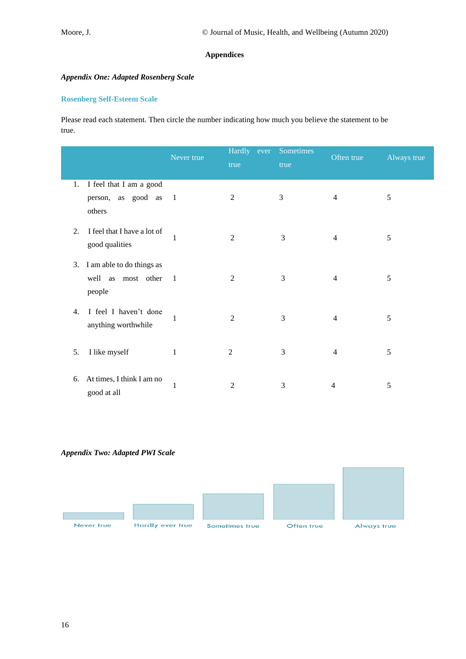## **Appendices**

## *Appendix One: Adapted Rosenberg Scale*

## **Rosenberg Self-Esteem Scale**

Please read each statement. Then circle the number indicating how much you believe the statement to be true.

|    |                                                           | Never true     | Hardly ever<br>true | Sometimes<br>true | Often true     | Always true |
|----|-----------------------------------------------------------|----------------|---------------------|-------------------|----------------|-------------|
| 1. | I feel that I am a good<br>person, as good as 1<br>others |                | $\overline{c}$      | 3                 | $\overline{4}$ | 5           |
| 2. | I feel that I have a lot of<br>good qualities             | 1              | $\overline{2}$      | 3                 | $\overline{4}$ | 5           |
| 3. | I am able to do things as<br>well as most other<br>people | $\overline{1}$ | 2                   | 3                 | $\overline{4}$ | 5           |
| 4. | I feel I haven't done<br>anything worthwhile              | 1              | $\overline{2}$      | 3                 | $\overline{4}$ | 5           |
| 5. | I like myself                                             | 1              | $\overline{2}$      | 3                 | $\overline{4}$ | 5           |
| 6. | At times, I think I am no<br>good at all                  | $\mathbf{1}$   | 2                   | 3                 | $\overline{4}$ | 5           |

## *Appendix Two: Adapted PWI Scale*

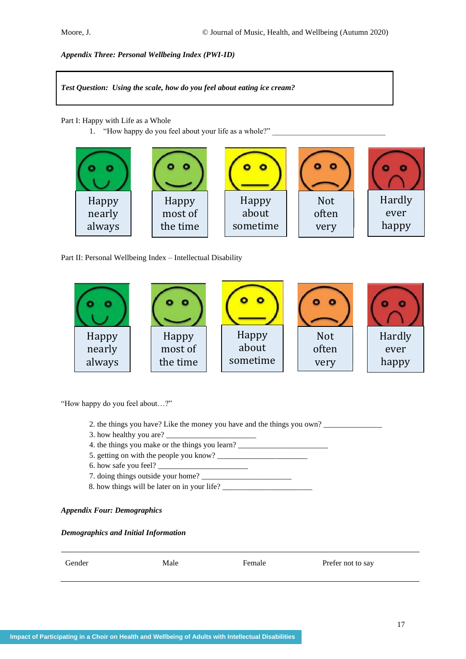*Appendix Three: Personal Wellbeing Index (PWI-ID)*

*Test Question: Using the scale, how do you feel about eating ice cream?*

Part I: Happy with Life as a Whole

1. "How happy do you feel about your life as a whole?"

| Happy  | Happy    | Happy    | <b>Not</b> | Hardly |
|--------|----------|----------|------------|--------|
| nearly | most of  | about    | often      | ever   |
| always | the time | sometime | very       | happy  |
|        |          |          |            |        |

Part II: Personal Wellbeing Index – Intellectual Disability



"How happy do you feel about…?"

- 2. the things you have? Like the money you have and the things you own?
- 3. how healthy you are?
- 4. the things you make or the things you learn? \_\_\_\_\_\_\_\_\_\_\_\_\_\_\_\_\_\_\_\_\_\_\_\_\_\_\_\_\_\_\_\_\_
- 5. getting on with the people you know? \_\_\_\_\_\_\_\_\_\_\_\_\_\_\_\_\_\_\_\_\_\_\_
- 6. how safe you feel?
- 7. doing things outside your home?
- 8. how things will be later on in your life?

## *Appendix Four: Demographics*

#### *Demographics and Initial Information*

| Gender | Male | Female | Prefer not to say |
|--------|------|--------|-------------------|
|        |      |        |                   |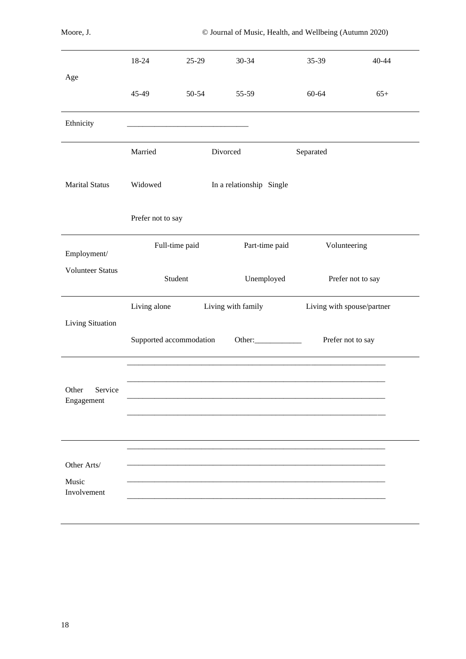|                                | 18-24                   | $25-29$   | $30 - 34$                | 35-39                      | 40-44             |
|--------------------------------|-------------------------|-----------|--------------------------|----------------------------|-------------------|
| Age                            |                         |           |                          |                            |                   |
|                                | 45-49                   | $50 - 54$ | 55-59                    | 60-64                      | $65+$             |
| Ethnicity                      |                         |           |                          |                            |                   |
|                                | Married                 | Divorced  |                          | Separated                  |                   |
| <b>Marital Status</b>          | Widowed                 |           | In a relationship Single |                            |                   |
|                                | Prefer not to say       |           |                          |                            |                   |
| Employment/                    | Full-time paid          |           | Part-time paid           | Volunteering               |                   |
| <b>Volunteer Status</b>        | Student                 |           | Unemployed               |                            | Prefer not to say |
| Living Situation               | Living alone            |           | Living with family       | Living with spouse/partner |                   |
|                                | Supported accommodation |           | Other:                   | Prefer not to say          |                   |
|                                |                         |           |                          |                            |                   |
| Service<br>Other<br>Engagement |                         |           |                          |                            |                   |
|                                |                         |           |                          |                            |                   |
| Other Arts/                    |                         |           |                          |                            |                   |
| Music<br>Involvement           |                         |           |                          |                            |                   |
|                                |                         |           |                          |                            |                   |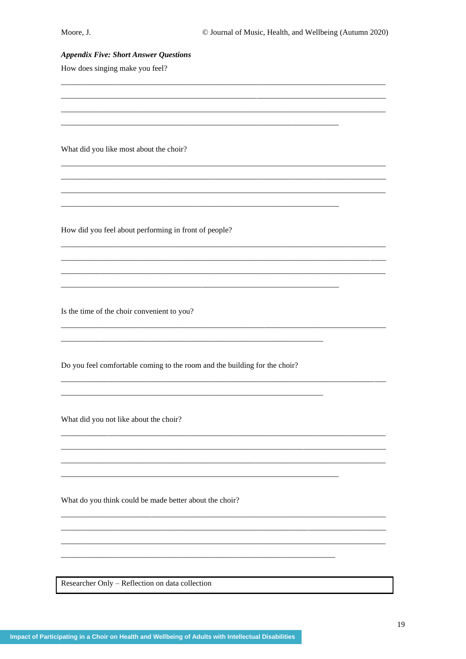#### **Appendix Five: Short Answer Questions**

How does singing make you feel?

What did you like most about the choir?

How did you feel about performing in front of people?

Is the time of the choir convenient to you?

Do you feel comfortable coming to the room and the building for the choir?

What did you not like about the choir?

What do you think could be made better about the choir?

Researcher Only - Reflection on data collection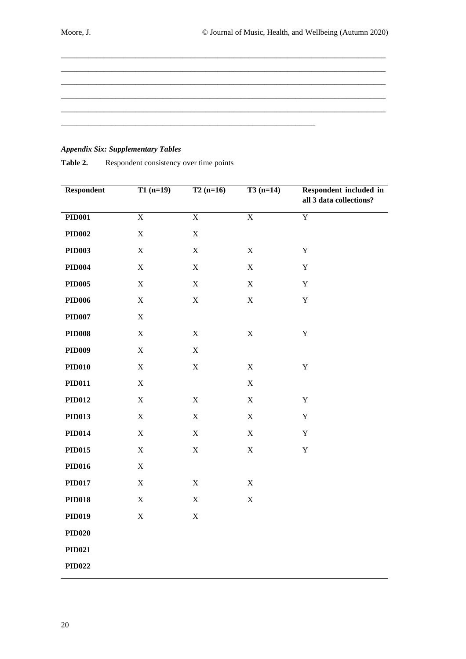# *Appendix Six: Supplementary Tables*

| <b>Respondent</b> | $T1(n=19)$              | $T2(n=16)$     | $T3(n=14)$     | Respondent included in<br>all 3 data collections? |
|-------------------|-------------------------|----------------|----------------|---------------------------------------------------|
| <b>PID001</b>     | $\overline{\mathbf{X}}$ | $\overline{X}$ | $\overline{X}$ | $\overline{Y}$                                    |
| PID002            | $\mathbf X$             | $\mathbf X$    |                |                                                   |
| <b>PID003</b>     | $\mathbf X$             | $\mathbf X$    | $\mathbf X$    | $\mathbf Y$                                       |
| <b>PID004</b>     | $\mathbf X$             | $\mathbf X$    | $\mathbf X$    | $\mathbf Y$                                       |
| <b>PID005</b>     | $\mathbf X$             | $\mathbf X$    | $\mathbf X$    | $\mathbf Y$                                       |
| <b>PID006</b>     | $\mathbf X$             | $\mathbf X$    | $\mathbf X$    | $\mathbf Y$                                       |
| PID007            | $\mathbf X$             |                |                |                                                   |
| <b>PID008</b>     | $\mathbf X$             | $\mathbf X$    | $\mathbf X$    | $\mathbf Y$                                       |
| <b>PID009</b>     | $\mathbf X$             | $\mathbf X$    |                |                                                   |
| <b>PID010</b>     | $\mathbf X$             | $\mathbf X$    | $\mathbf X$    | $\mathbf Y$                                       |
| <b>PID011</b>     | $\mathbf X$             |                | $\mathbf X$    |                                                   |
| <b>PID012</b>     | $\mathbf X$             | $\mathbf X$    | $\mathbf X$    | $\mathbf Y$                                       |
| <b>PID013</b>     | $\mathbf X$             | $\mathbf X$    | $\mathbf X$    | $\mathbf Y$                                       |
| <b>PID014</b>     | $\mathbf X$             | $\mathbf X$    | $\mathbf X$    | $\mathbf Y$                                       |
| <b>PID015</b>     | $\mathbf X$             | $\mathbf X$    | $\mathbf X$    | $\mathbf Y$                                       |
| <b>PID016</b>     | $\mathbf X$             |                |                |                                                   |
| <b>PID017</b>     | $\mathbf X$             | $\mathbf X$    | $\mathbf X$    |                                                   |
| <b>PID018</b>     | $\mathbf X$             | $\mathbf X$    | $\mathbf X$    |                                                   |
| <b>PID019</b>     | $\mathbf X$             | $\mathbf X$    |                |                                                   |
| <b>PID020</b>     |                         |                |                |                                                   |
| <b>PID021</b>     |                         |                |                |                                                   |
| <b>PID022</b>     |                         |                |                |                                                   |

Table 2. Respondent consistency over time points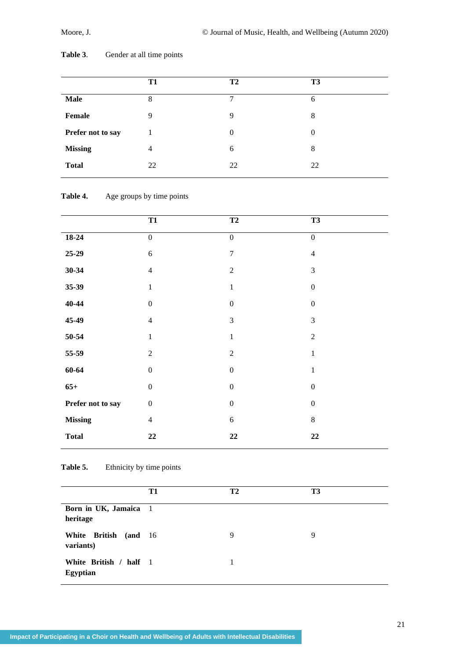|                   | T1 | T <sub>2</sub> | T <sub>3</sub> |
|-------------------|----|----------------|----------------|
| <b>Male</b>       | 8  | 7              | 6              |
| Female            | 9  | 9              | 8              |
| Prefer not to say |    | $\Omega$       | $\theta$       |
| <b>Missing</b>    | 4  | 6              | 8              |
| <b>Total</b>      | 22 | 22             | 22             |

Table 3. Gender at all time points

## Table 4. Age groups by time points

|                   | <b>T1</b>        | <b>T2</b>        | <b>T3</b>        |
|-------------------|------------------|------------------|------------------|
| $18-24$           | $\boldsymbol{0}$ | $\boldsymbol{0}$ | $\boldsymbol{0}$ |
| $25-29$           | $\sqrt{6}$       | $\boldsymbol{7}$ | $\overline{4}$   |
| $30 - 34$         | $\overline{4}$   | $\overline{2}$   | $\mathfrak{Z}$   |
| $35 - 39$         | $\mathbf{1}$     | $\,1\,$          | $\boldsymbol{0}$ |
| $40 - 44$         | $\boldsymbol{0}$ | $\boldsymbol{0}$ | $\boldsymbol{0}$ |
| 45-49             | $\overline{4}$   | 3                | 3                |
| 50-54             | $\mathbf{1}$     | $\,1\,$          | $\overline{2}$   |
| 55-59             | $\sqrt{2}$       | $\overline{2}$   | $\mathbf{1}$     |
| $60 - 64$         | $\boldsymbol{0}$ | $\boldsymbol{0}$ | $\mathbf{1}$     |
| $65+$             | $\boldsymbol{0}$ | $\boldsymbol{0}$ | $\boldsymbol{0}$ |
| Prefer not to say | $\boldsymbol{0}$ | $\boldsymbol{0}$ | $\boldsymbol{0}$ |
| <b>Missing</b>    | $\overline{4}$   | $\sqrt{6}$       | $8\,$            |
| <b>Total</b>      | $\bf{22}$        | 22               | $\bf{22}$        |

Table 5. Ethnicity by time points

|                                           | T1 | <b>T2</b> | T3 |
|-------------------------------------------|----|-----------|----|
| Born in UK, Jamaica 1<br>heritage         |    |           |    |
| White British (and 16<br>variants)        |    | 9         | 9  |
| White British / half 1<br><b>Egyptian</b> |    |           |    |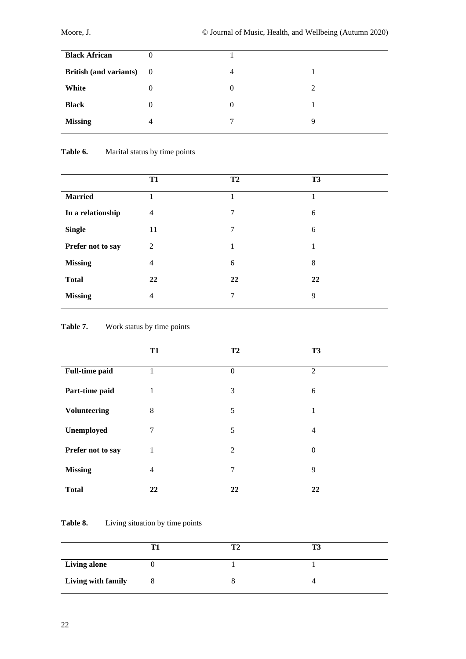| <b>Black African</b>            | 0        |                |   |
|---------------------------------|----------|----------------|---|
| <b>British (and variants)</b> 0 |          | $\overline{4}$ |   |
| White                           | $\theta$ | $\Omega$       | 2 |
| <b>Black</b>                    | $\theta$ | $\Omega$       |   |
| <b>Missing</b>                  | 4        | $\tau$         | Q |
|                                 |          |                |   |

# Table 6. Marital status by time points

|                   | <b>T1</b>      | <b>T2</b> | <b>T3</b> |
|-------------------|----------------|-----------|-----------|
| <b>Married</b>    | 1              |           | 1         |
| In a relationship | $\overline{4}$ | 7         | 6         |
| <b>Single</b>     | 11             | 7         | 6         |
| Prefer not to say | 2              | 1         | 1         |
| <b>Missing</b>    | $\overline{4}$ | 6         | 8         |
| <b>Total</b>      | 22             | 22        | 22        |
| <b>Missing</b>    | $\overline{4}$ | 7         | 9         |

# Table 7. Work status by time points

|                       | <b>T1</b>      | <b>T2</b>        | T <sub>3</sub> |
|-----------------------|----------------|------------------|----------------|
| <b>Full-time paid</b> | 1              | $\boldsymbol{0}$ | $\overline{2}$ |
| Part-time paid        | 1              | 3                | 6              |
| <b>Volunteering</b>   | $\,8\,$        | 5                | $\mathbf{1}$   |
| Unemployed            | 7              | 5                | $\overline{4}$ |
| Prefer not to say     | $\mathbf{1}$   | 2                | $\Omega$       |
| <b>Missing</b>        | $\overline{4}$ | 7                | 9              |
| <b>Total</b>          | 22             | 22               | 22             |
|                       |                |                  |                |

## Table 8. Living situation by time points

| <b>Living alone</b> |  |  |
|---------------------|--|--|
| Living with family  |  |  |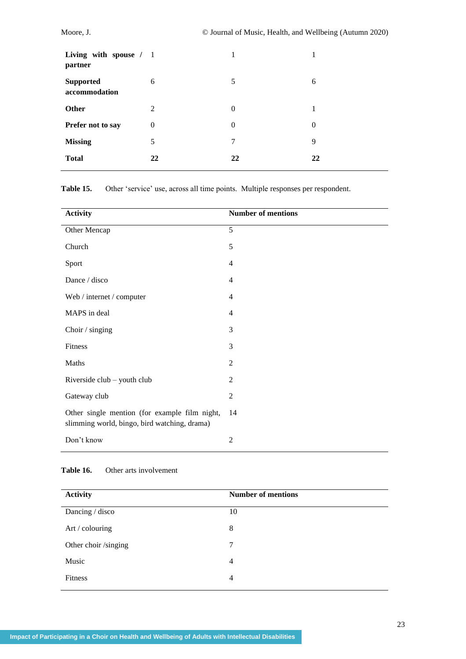| Living with spouse / 1<br>partner |                  | 1              |              |
|-----------------------------------|------------------|----------------|--------------|
| <b>Supported</b><br>accommodation | 6                | 5              | 6            |
| Other                             | 2                | $\overline{0}$ |              |
| Prefer not to say                 | $\boldsymbol{0}$ | $\overline{0}$ | $\mathbf{0}$ |
| <b>Missing</b>                    | 5                | 7              | 9            |
| <b>Total</b>                      | 22               | 22             | 22           |

**Table 15.** Other 'service' use, across all time points. Multiple responses per respondent.

| <b>Activity</b>                                                                               | <b>Number of mentions</b> |
|-----------------------------------------------------------------------------------------------|---------------------------|
| Other Mencap                                                                                  | 5                         |
| Church                                                                                        | 5                         |
| Sport                                                                                         | $\overline{4}$            |
| Dance / disco                                                                                 | $\overline{4}$            |
| Web / internet / computer                                                                     | $\overline{4}$            |
| MAPS in deal                                                                                  | $\overline{4}$            |
| Choir / singing                                                                               | 3                         |
| Fitness                                                                                       | 3                         |
| Maths                                                                                         | 2                         |
| Riverside club - youth club                                                                   | $\overline{2}$            |
| Gateway club                                                                                  | $\mathfrak{2}$            |
| Other single mention (for example film night,<br>slimming world, bingo, bird watching, drama) | 14                        |
| Don't know                                                                                    | $\overline{2}$            |

## **Table 16.** Other arts involvement

| <b>Activity</b>      | <b>Number of mentions</b> |
|----------------------|---------------------------|
| Dancing / disco      | 10                        |
| Art / colouring      | 8                         |
| Other choir /singing | $\tau$                    |
| Music                | 4                         |
| <b>Fitness</b>       | 4                         |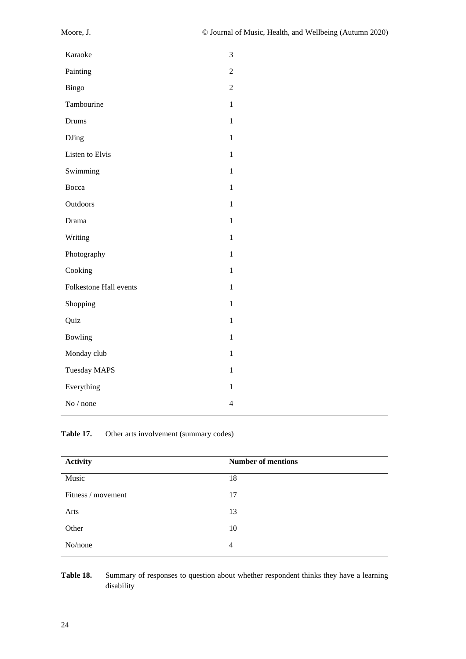| Painting<br>$\overline{2}$<br>Bingo<br>$\overline{2}$<br>Tambourine<br>$\mathbf{1}$<br>$\mathbf{1}$<br>Drums<br>$\mathbf{1}$<br><b>DJing</b><br>Listen to Elvis<br>1<br>Swimming<br>$\mathbf{1}$<br>Bocca<br>$\mathbf{1}$<br>Outdoors<br>$\mathbf{1}$<br>$\mathbf{1}$<br>Drama<br>Writing<br>$\mathbf{1}$<br>Photography<br>$\mathbf{1}$<br>Cooking<br>$\mathbf{1}$<br><b>Folkestone Hall events</b><br>$\mathbf{1}$<br>Shopping<br>$\mathbf{1}$<br>Quiz<br>1 |
|---------------------------------------------------------------------------------------------------------------------------------------------------------------------------------------------------------------------------------------------------------------------------------------------------------------------------------------------------------------------------------------------------------------------------------------------------------------|
|                                                                                                                                                                                                                                                                                                                                                                                                                                                               |
|                                                                                                                                                                                                                                                                                                                                                                                                                                                               |
|                                                                                                                                                                                                                                                                                                                                                                                                                                                               |
|                                                                                                                                                                                                                                                                                                                                                                                                                                                               |
|                                                                                                                                                                                                                                                                                                                                                                                                                                                               |
|                                                                                                                                                                                                                                                                                                                                                                                                                                                               |
|                                                                                                                                                                                                                                                                                                                                                                                                                                                               |
|                                                                                                                                                                                                                                                                                                                                                                                                                                                               |
|                                                                                                                                                                                                                                                                                                                                                                                                                                                               |
|                                                                                                                                                                                                                                                                                                                                                                                                                                                               |
|                                                                                                                                                                                                                                                                                                                                                                                                                                                               |
|                                                                                                                                                                                                                                                                                                                                                                                                                                                               |
|                                                                                                                                                                                                                                                                                                                                                                                                                                                               |
|                                                                                                                                                                                                                                                                                                                                                                                                                                                               |
|                                                                                                                                                                                                                                                                                                                                                                                                                                                               |
|                                                                                                                                                                                                                                                                                                                                                                                                                                                               |
| <b>Bowling</b><br>$\mathbf{1}$                                                                                                                                                                                                                                                                                                                                                                                                                                |
| Monday club<br>$\mathbf{1}$                                                                                                                                                                                                                                                                                                                                                                                                                                   |
| <b>Tuesday MAPS</b><br>$\mathbf{1}$                                                                                                                                                                                                                                                                                                                                                                                                                           |
| Everything<br>$\mathbf{1}$                                                                                                                                                                                                                                                                                                                                                                                                                                    |
| No / none<br>$\overline{4}$                                                                                                                                                                                                                                                                                                                                                                                                                                   |

Table 17. Other arts involvement (summary codes)

| <b>Activity</b>    | <b>Number of mentions</b> |
|--------------------|---------------------------|
| Music              | 18                        |
| Fitness / movement | 17                        |
| Arts               | 13                        |
| Other              | 10                        |
| No/none            | $\overline{4}$            |

Table 18. Summary of responses to question about whether respondent thinks they have a learning disability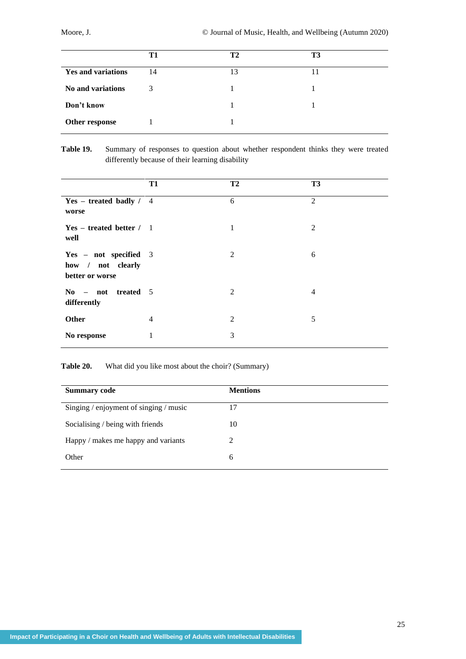|                           | T1 | <b>T2</b> | T3 |
|---------------------------|----|-----------|----|
| <b>Yes and variations</b> | 14 | 13        | 11 |
| <b>No and variations</b>  | 3  |           |    |
| Don't know                |    |           |    |
| Other response            |    |           |    |

## **Table 19.** Summary of responses to question about whether respondent thinks they were treated differently because of their learning disability

|                                                               | T1             | T <sub>2</sub> | <b>T3</b> |
|---------------------------------------------------------------|----------------|----------------|-----------|
| $Yes - treated badly / 4$<br>worse                            |                | 6              | 2         |
| $Yes - treated better / 1$<br>well                            |                | 1              | 2         |
| Yes - not specified 3<br>how / not clearly<br>better or worse |                | $\overline{2}$ | 6         |
| $\textbf{No}$ – not treated 5<br>differently                  |                | 2              | 4         |
| <b>Other</b>                                                  | $\overline{4}$ | $\overline{2}$ | 5         |
| No response                                                   | 1              | 3              |           |

**Table 20.** What did you like most about the choir? (Summary)

| <b>Summary code</b>                    | <b>Mentions</b> |
|----------------------------------------|-----------------|
| Singing / enjoyment of singing / music | 17              |
| Socialising / being with friends       | 10              |
| Happy / makes me happy and variants    | 2               |
| Other                                  | 6               |